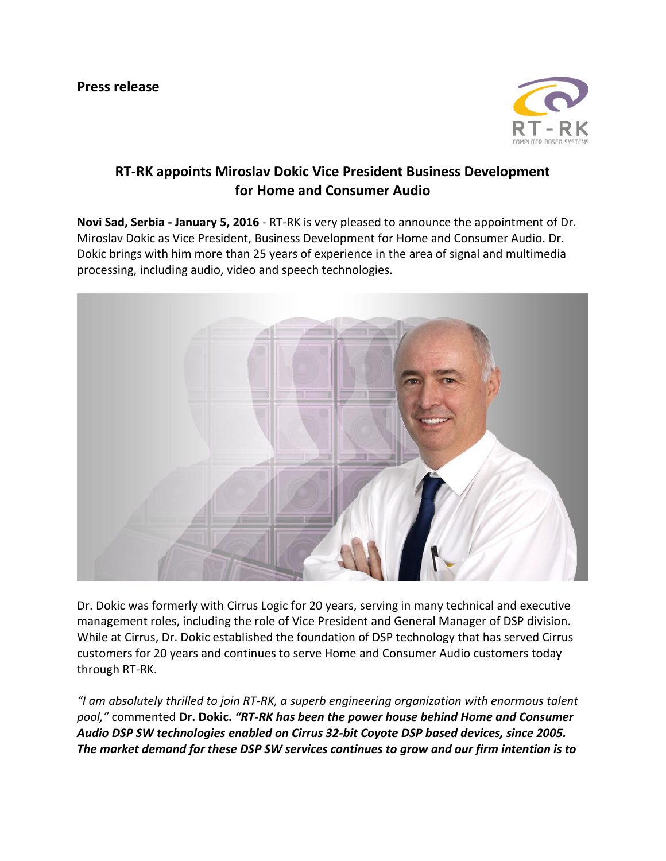

## **RT-RK appoints Miroslav Dokic Vice President Business Development for Home and Consumer Audio**

**Novi Sad, Serbia - January 5, 2016** - RT-RK is very pleased to announce the appointment of Dr. Miroslav Dokic as Vice President, Business Development for Home and Consumer Audio. Dr. Dokic brings with him more than 25 years of experience in the area of signal and multimedia processing, including audio, video and speech technologies.



Dr. Dokic was formerly with Cirrus Logic for 20 years, serving in many technical and executive management roles, including the role of Vice President and General Manager of DSP division. While at Cirrus, Dr. Dokic established the foundation of DSP technology that has served Cirrus customers for 20 years and continues to serve Home and Consumer Audio customers today through RT-RK.

*"I am absolutely thrilled to join RT-RK, a superb engineering organization with enormous talent pool,"* commented **Dr. Dokic.** *"RT-RK has been the power house behind Home and Consumer Audio DSP SW technologies enabled on Cirrus 32-bit Coyote DSP based devices, since 2005. The market demand for these DSP SW services continues to grow and our firm intention is to*